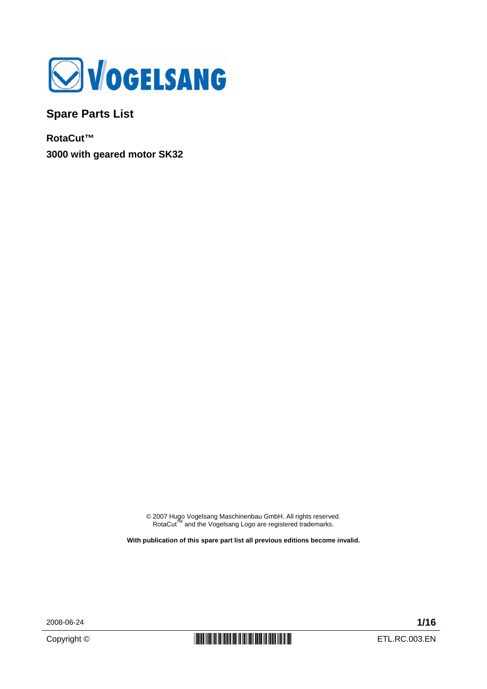

**Spare Parts List** 

**RotaCut™ 3000 with geared motor SK32** 

© 2007 Hugo Vogelsang Maschinenbau GmbH. All rights reserved.<br>RotaCut™ and the Vogelsang Logo are registered trademarks.

**With publication of this spare part list all previous editions become invalid.** 

2008-06-24 **1/16**

Copyright ©  $\begin{array}{c|c|c|c} \hline \multicolumn{1}{|c|}{\text{min}} & \multicolumn{1}{|c|}{\text{min}} & \multicolumn{1}{|c|}{\text{min}} & \multicolumn{1}{|c|}{\text{min}} & \multicolumn{1}{|c|}{\text{min}} & \multicolumn{1}{|c|}{\text{min}} & \multicolumn{1}{|c|}{\text{min}} & \multicolumn{1}{|c|}{\text{min}} & \multicolumn{1}{|c|}{\text{min}} & \multicolumn{1}{|c|}{\text{min}} & \multicolumn{1}{|c|}{\text{min}} & \multicolumn{1$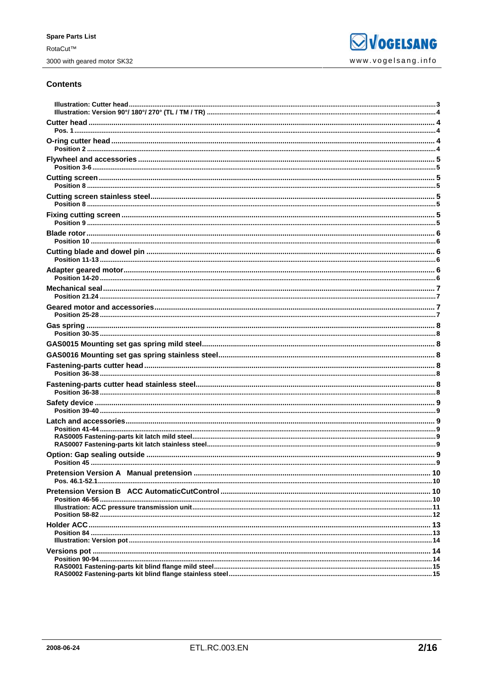## **Contents**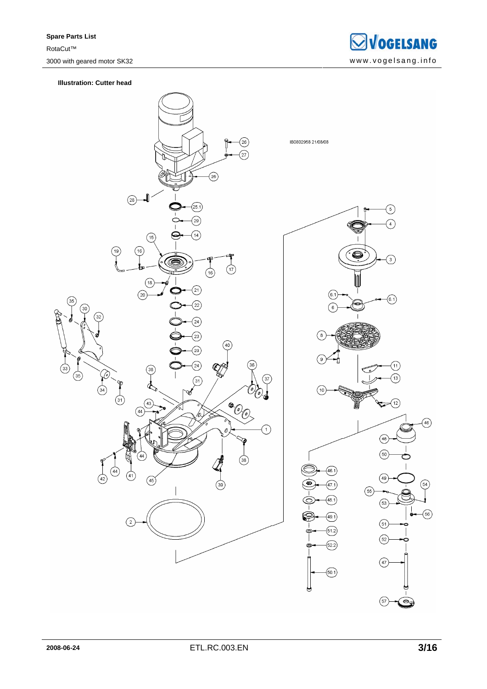

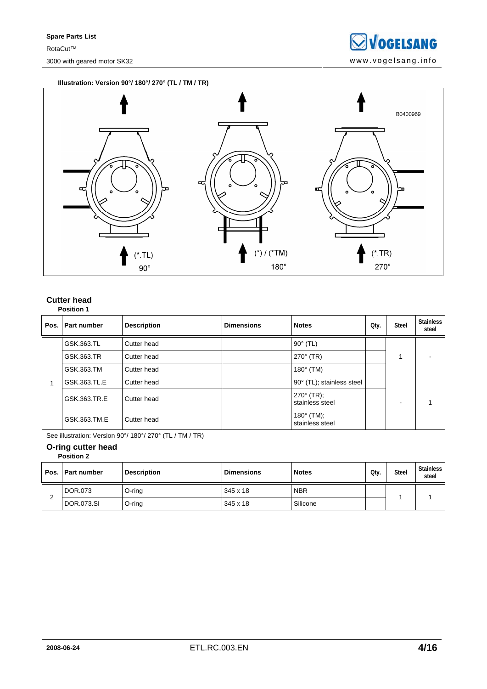**SVOGELSANG** 3000 with geared motor SK32 www.vogelsang.info

**Illustration: Version 90°/ 180°/ 270° (TL / TM / TR)** 



## **Cutter head Position 1**

| Pos. | l Part number | <b>Description</b> | <b>Dimensions</b> | <b>Notes</b>                           | Qty. | <b>Steel</b> | <b>Stainless</b><br>steel |
|------|---------------|--------------------|-------------------|----------------------------------------|------|--------------|---------------------------|
|      | GSK.363.TL    | Cutter head        |                   | $90^\circ$ (TL)                        |      |              |                           |
|      | GSK.363.TR    | Cutter head        |                   | $270^{\circ}$ (TR)                     |      |              |                           |
|      | GSK.363.TM    | Cutter head        |                   | $180^\circ$ (TM)                       |      |              |                           |
|      | GSK.363.TL.E  | Cutter head        |                   | 90° (TL); stainless steel              |      |              |                           |
|      | GSK.363.TR.E  | Cutter head        |                   | $270^{\circ}$ (TR);<br>stainless steel |      | -            |                           |
|      | GSK.363.TM.E  | Cutter head        |                   | $180^{\circ}$ (TM);<br>stainless steel |      |              |                           |

See illustration: Version 90°/ 180°/ 270° (TL / TM / TR)

#### **O-ring cutter head Position 2**

|  | Pos.   Part number | <b>Description</b> | <b>Dimensions</b> | <b>Notes</b> | Qtv. | <b>Steel</b> | Stainless<br>steel |
|--|--------------------|--------------------|-------------------|--------------|------|--------------|--------------------|
|  | DOR.073            | O-ring             | 345 x 18          | <b>NBR</b>   |      |              |                    |
|  | DOR.073.SI         | $O$ -ring          | 345 x 18          | Silicone     |      |              |                    |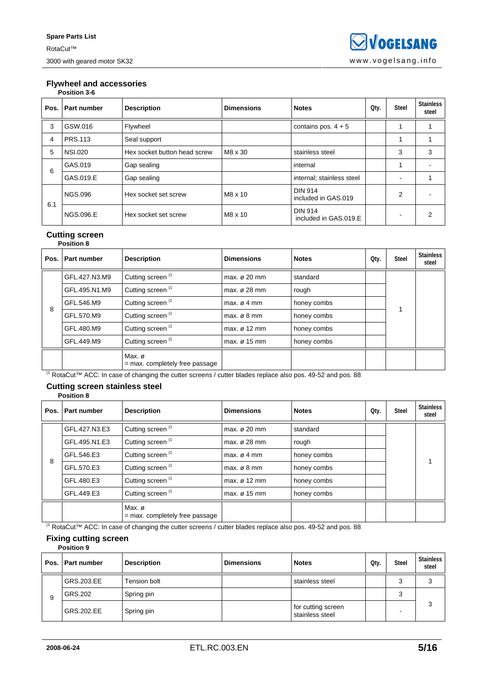#### **Flywheel and accessories Position 3-6**

|      | ט־ט וועוונט ו    |                              |                   |                                         |      |              |                           |  |  |  |  |  |
|------|------------------|------------------------------|-------------------|-----------------------------------------|------|--------------|---------------------------|--|--|--|--|--|
| Pos. | Part number      | <b>Description</b>           | <b>Dimensions</b> | <b>Notes</b>                            | Qty. | <b>Steel</b> | <b>Stainless</b><br>steel |  |  |  |  |  |
| 3    | GSW.016          | Flywheel                     |                   | contains pos. $4 + 5$                   |      |              |                           |  |  |  |  |  |
| 4    | <b>PRS.113</b>   | Seal support                 |                   |                                         |      |              |                           |  |  |  |  |  |
| 5    | <b>NSI.020</b>   | Hex socket button head screw | M8 x 30           | stainless steel                         |      | 3            | 3                         |  |  |  |  |  |
| 6    | GAS.019          | Gap sealing                  |                   | internal                                |      |              |                           |  |  |  |  |  |
|      | GAS.019.E        | Gap sealing                  |                   | internal; stainless steel               |      | -            |                           |  |  |  |  |  |
| 6.1  | <b>NGS.096</b>   | Hex socket set screw         | M8 x 10           | <b>DIN 914</b><br>included in GAS.019   |      | 2            |                           |  |  |  |  |  |
|      | <b>NGS.096.E</b> | Hex socket set screw         | M8 x 10           | <b>DIN 914</b><br>included in GAS.019.E |      |              | 2                         |  |  |  |  |  |

#### **Cutting screen Position 8**

| Pos. | Part number   | <b>Description</b>                        | <b>Dimensions</b>        | <b>Notes</b> | Qty. | Steel | <b>Stainless</b><br>steel |
|------|---------------|-------------------------------------------|--------------------------|--------------|------|-------|---------------------------|
|      | GFL.427.N3.M9 | Cutting screen <sup>(1</sup>              | max. $\sigma$ 20 mm      | standard     |      |       |                           |
|      | GFL.495.N1.M9 | Cutting screen <sup>(1</sup>              | max. $\varnothing$ 28 mm | rough        |      |       |                           |
| 8    | GFL.546.M9    | Cutting screen <sup>(1</sup>              | max. $\varnothing$ 4 mm  | honey combs  |      |       |                           |
|      | GFL.570.M9    | Cutting screen <sup>(1</sup>              | max. $\varnothing$ 8 mm  | honey combs  |      |       |                           |
|      | GFL.480.M9    | Cutting screen <sup>(1</sup>              | max. $\varnothing$ 12 mm | honey combs  |      |       |                           |
|      | GFL.449.M9    | Cutting screen <sup>(1</sup>              | max. $\varnothing$ 15 mm | honey combs  |      |       |                           |
|      |               | Max.ø<br>$=$ max. completely free passage |                          |              |      |       |                           |

(1 RotaCut™ ACC: In case of changing the cutter screens / cutter blades replace also pos. 49-52 and pos. 88

#### **Cutting screen stainless steel Position 8**

| Pos. I | <b>Part number</b> | <b>Description</b>                         | <b>Dimensions</b>        | <b>Notes</b> | Qty. | <b>Steel</b> | <b>Stainless</b><br>steel |
|--------|--------------------|--------------------------------------------|--------------------------|--------------|------|--------------|---------------------------|
|        | GFL.427.N3.E3      | Cutting screen <sup>(1</sup>               | max. $\varnothing$ 20 mm | standard     |      |              |                           |
|        | GFL.495.N1.E3      | Cutting screen <sup>(1</sup>               | max. $\varnothing$ 28 mm | rough        |      |              |                           |
| 8      | GFL.546.E3         | Cutting screen <sup>(1</sup>               | max. $\varnothing$ 4 mm  | honey combs  |      |              |                           |
|        | GFL.570.E3         | Cutting screen <sup>(1</sup>               | max. $\varnothing$ 8 mm  | honey combs  |      |              |                           |
|        | GFL.480.E3         | Cutting screen <sup>(1</sup>               | max. $\varnothing$ 12 mm | honey combs  |      |              |                           |
|        | GFL.449.E3         | Cutting screen <sup>(1</sup>               | max. $\varnothing$ 15 mm | honey combs  |      |              |                           |
|        |                    | Max. ø<br>$=$ max. completely free passage |                          |              |      |              |                           |

(1 RotaCut™ ACC: In case of changing the cutter screens / cutter blades replace also pos. 49-52 and pos. 88

#### **Fixing cutting screen Position 9**

|   | Pos.   Part number | <b>Description</b> | <b>Dimensions</b> | <b>Notes</b>                          | Qty. | <b>Steel</b> | Stainless<br>steel |
|---|--------------------|--------------------|-------------------|---------------------------------------|------|--------------|--------------------|
|   | GRS.203.EE         | Tension bolt       |                   | stainless steel                       |      |              | 3                  |
| 9 | GRS.202            | Spring pin         |                   |                                       |      |              |                    |
|   | GRS.202.EE         | Spring pin         |                   | for cutting screen<br>stainless steel |      |              | 3                  |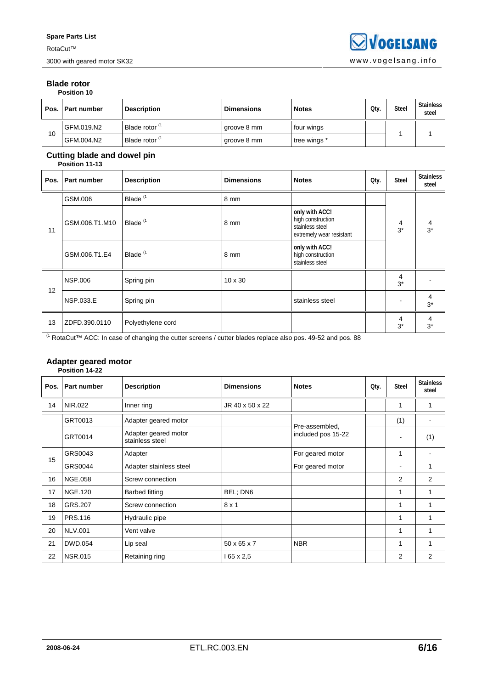### **Blade rotor Position 10**

|    | Pos.   Part number | <b>Description</b>        | <b>Dimensions</b> | <b>Notes</b> | Qty. | <b>Steel</b> | <b>Stainless</b><br>steel |
|----|--------------------|---------------------------|-------------------|--------------|------|--------------|---------------------------|
| 10 | GFM.019.N2         | Blade rotor <sup>(1</sup> | groove 8 mm       | four wings   |      |              |                           |
|    | GFM.004.N2         | Blade rotor <sup>(1</sup> | groove 8 mm       | tree wings * |      |              |                           |

## **Cutting blade and dowel pin**

|      | Position 11-13 |                     |                   |                                                                                    |      |              |                           |
|------|----------------|---------------------|-------------------|------------------------------------------------------------------------------------|------|--------------|---------------------------|
| Pos. | Part number    | <b>Description</b>  | <b>Dimensions</b> | <b>Notes</b>                                                                       | Qty. | <b>Steel</b> | <b>Stainless</b><br>steel |
|      | GSM.006        | Blade <sup>(1</sup> | 8 mm              |                                                                                    |      |              |                           |
| 11   | GSM.006.T1.M10 | Blade <sup>(1</sup> | 8 mm              | only with ACC!<br>high construction<br>stainless steel<br>extremely wear resistant |      | 4<br>$3*$    | 4<br>$3^*$                |
|      | GSM.006.T1.E4  | Blade <sup>(1</sup> | 8 mm              | only with ACC!<br>high construction<br>stainless steel                             |      |              |                           |
| 12   | <b>NSP.006</b> | Spring pin          | $10 \times 30$    |                                                                                    |      | 4<br>$3*$    |                           |
|      | NSP.033.E      | Spring pin          |                   | stainless steel                                                                    |      |              | 4<br>$3^*$                |
| 13   | ZDFD.390.0110  | Polyethylene cord   |                   |                                                                                    |      | 4<br>$3^*$   | 4<br>$3^*$                |

(1 RotaCut™ ACC: In case of changing the cutter screens / cutter blades replace also pos. 49-52 and pos. 88

## **Adapter geared motor**

|      | Position 14-22     |                                         |                         |                    |      |       |                           |
|------|--------------------|-----------------------------------------|-------------------------|--------------------|------|-------|---------------------------|
| Pos. | <b>Part number</b> | <b>Description</b>                      | <b>Dimensions</b>       | <b>Notes</b>       | Qty. | Steel | <b>Stainless</b><br>steel |
| 14   | NIR.022            | Inner ring                              | JR 40 x 50 x 22         |                    |      | 1     |                           |
|      | GRT0013            | Adapter geared motor                    |                         | Pre-assembled,     |      | (1)   |                           |
|      | GRT0014            | Adapter geared motor<br>stainless steel |                         | included pos 15-22 |      |       | (1)                       |
|      | GRS0043            | Adapter                                 |                         | For geared motor   |      | 1     |                           |
| 15   | GRS0044            | Adapter stainless steel                 |                         | For geared motor   |      |       | 1                         |
| 16   | <b>NGE.058</b>     | Screw connection                        |                         |                    |      | 2     | $\overline{2}$            |
| 17   | <b>NGE.120</b>     | <b>Barbed fitting</b>                   | BEL; DN6                |                    |      | 1     | 1                         |
| 18   | GRS.207            | Screw connection                        | $8 \times 1$            |                    |      | 1     | 1                         |
| 19   | <b>PRS.116</b>     | Hydraulic pipe                          |                         |                    |      | 1     | 1                         |
| 20   | <b>NLV.001</b>     | Vent valve                              |                         |                    |      | 1     |                           |
| 21   | <b>DWD.054</b>     | Lip seal                                | $50 \times 65 \times 7$ | <b>NBR</b>         |      | 1     | 1                         |
| 22   | <b>NSR.015</b>     | Retaining ring                          | $165 \times 2,5$        |                    |      | 2     | 2                         |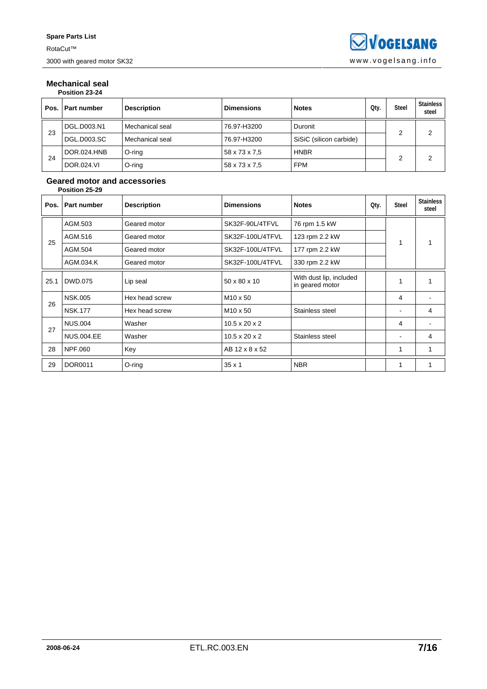### **Mechanical seal Position 23-24**

| Pos. | <b>Part number</b> | <b>Description</b> | <b>Dimensions</b> | <b>Notes</b>            | Qty. | <b>Steel</b> | <b>Stainless</b><br>steel |  |  |  |
|------|--------------------|--------------------|-------------------|-------------------------|------|--------------|---------------------------|--|--|--|
| 23   | DGL.D003.N1        | Mechanical seal    | 76.97-H3200       | Duronit                 |      | っ            | C                         |  |  |  |
|      | <b>DGL.D003.SC</b> | Mechanical seal    | 76.97-H3200       | SiSiC (silicon carbide) |      |              |                           |  |  |  |
|      | DOR.024.HNB        | O-ring             | 58 x 73 x 7,5     | <b>HNBR</b>             |      |              | 2                         |  |  |  |
| 24   | <b>DOR.024.VI</b>  | O-ring             | 58 x 73 x 7.5     | <b>FPM</b>              |      |              |                           |  |  |  |

### **Geared motor and accessories Position 25-29**

| Pos. | <b>Part number</b> | <b>Description</b> | <b>Dimensions</b>         | <b>Notes</b>                               | Qty. | <b>Steel</b> | <b>Stainless</b><br>steel |
|------|--------------------|--------------------|---------------------------|--------------------------------------------|------|--------------|---------------------------|
|      | AGM.503            | Geared motor       | SK32F-90L/4TFVL           | 76 rpm 1.5 kW                              |      |              |                           |
| 25   | AGM.516            | Geared motor       | SK32F-100L/4TFVL          | 123 rpm 2.2 kW                             |      | 1            | 1                         |
|      | AGM.504            | Geared motor       | SK32F-100L/4TFVL          | 177 rpm 2.2 kW                             |      |              |                           |
|      | AGM.034.K          | Geared motor       | SK32F-100L/4TFVL          | 330 rpm 2.2 kW                             |      |              |                           |
| 25.1 | DWD.075            | Lip seal           | 50 x 80 x 10              | With dust lip, included<br>in geared motor |      | 1            |                           |
| 26   | <b>NSK.005</b>     | Hex head screw     | M <sub>10</sub> x 50      |                                            |      | 4            |                           |
|      | <b>NSK.177</b>     | Hex head screw     | M <sub>10</sub> x 50      | Stainless steel                            |      |              | 4                         |
| 27   | <b>NUS.004</b>     | Washer             | $10.5 \times 20 \times 2$ |                                            |      | 4            |                           |
|      | <b>NUS.004.EE</b>  | Washer             | $10.5 \times 20 \times 2$ | Stainless steel                            |      |              | 4                         |
| 28   | NPF.060            | Key                | AB 12 x 8 x 52            |                                            |      | 1            |                           |
| 29   | <b>DOR0011</b>     | O-ring             | $35 \times 1$             | <b>NBR</b>                                 |      |              |                           |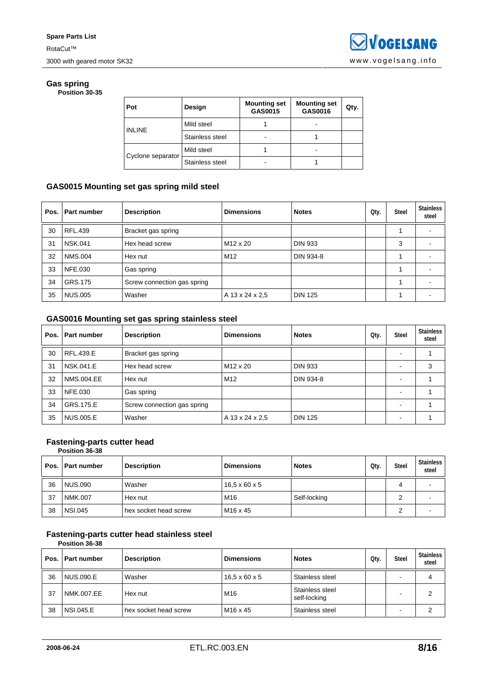### **Gas spring Position 30-35**

| Pot               | Design          | <b>Mounting set</b><br>GAS0015 | <b>Mounting set</b><br>GAS0016 | Qty. |
|-------------------|-----------------|--------------------------------|--------------------------------|------|
| <b>INLINE</b>     | Mild steel      |                                |                                |      |
|                   | Stainless steel |                                |                                |      |
| Cyclone separator | Mild steel      |                                |                                |      |
|                   | Stainless steel |                                |                                |      |

## **GAS0015 Mounting set gas spring mild steel**

| Pos. | <b>Part number</b> | <b>Description</b>          | <b>Dimensions</b> | <b>Notes</b>   | Qty. | <b>Steel</b> | <b>Stainless</b><br>steel |
|------|--------------------|-----------------------------|-------------------|----------------|------|--------------|---------------------------|
| 30   | RFL.439            | Bracket gas spring          |                   |                |      |              |                           |
| 31   | <b>NSK.041</b>     | Hex head screw              | M12 x 20          | <b>DIN 933</b> |      | 3            |                           |
| 32   | <b>NMS.004</b>     | Hex nut                     | M <sub>12</sub>   | DIN 934-8      |      |              |                           |
| 33   | <b>NFE.030</b>     | Gas spring                  |                   |                |      |              |                           |
| 34   | GRS.175            | Screw connection gas spring |                   |                |      |              |                           |
| 35   | <b>NUS.005</b>     | Washer                      | A 13 x 24 x 2.5   | <b>DIN 125</b> |      |              |                           |

## **GAS0016 Mounting set gas spring stainless steel**

| Pos. | Part number       | <b>Description</b>          | <b>Dimensions</b> | <b>Notes</b>   | Qty. | <b>Steel</b> | <b>Stainless</b><br>steel |
|------|-------------------|-----------------------------|-------------------|----------------|------|--------------|---------------------------|
| 30   | RFL.439.E         | Bracket gas spring          |                   |                |      |              |                           |
| 31   | <b>NSK.041.E</b>  | Hex head screw              | M12 x 20          | <b>DIN 933</b> |      |              | 3                         |
| 32   | <b>NMS.004.EE</b> | Hex nut                     | M <sub>12</sub>   | DIN 934-8      |      |              |                           |
| 33   | NFE.030           | Gas spring                  |                   |                |      |              |                           |
| 34   | GRS.175.E         | Screw connection gas spring |                   |                |      |              |                           |
| 35   | <b>NUS.005.E</b>  | Washer                      | A 13 x 24 x 2.5   | <b>DIN 125</b> |      |              |                           |

## **Fastening-parts cutter head**

**Position 36-38** 

| Pos. | <b>Part number</b> | <b>Description</b>    | <b>Dimensions</b>         | <b>Notes</b> | Oty. | <b>Steel</b> | <b>Stainless</b><br>steel |
|------|--------------------|-----------------------|---------------------------|--------------|------|--------------|---------------------------|
| 36   | <b>NUS.090</b>     | Washer                | $16.5 \times 60 \times 5$ |              |      | 4            |                           |
| 37   | NMK.007            | Hex nut               | M16                       | Self-locking |      |              |                           |
| 38   | <b>NSI.045</b>     | hex socket head screw | M <sub>16</sub> x 45      |              |      |              |                           |

## **Fastening-parts cutter head stainless steel**

**Position 36-38** 

| Pos. I | <b>Part number</b> | <b>Description</b>    | <b>Dimensions</b>         | <b>Notes</b>                    | Oty. | <b>Steel</b> | <b>Stainless</b><br>steel |
|--------|--------------------|-----------------------|---------------------------|---------------------------------|------|--------------|---------------------------|
| 36     | NUS.090.E          | Washer                | $16.5 \times 60 \times 5$ | Stainless steel                 |      | -            | 4                         |
| 37     | NMK.007.EE         | Hex nut               | M <sub>16</sub>           | Stainless steel<br>self-locking |      |              | 2                         |
| 38     | <b>NSI.045.E</b>   | hex socket head screw | M <sub>16</sub> x 45      | Stainless steel                 |      |              |                           |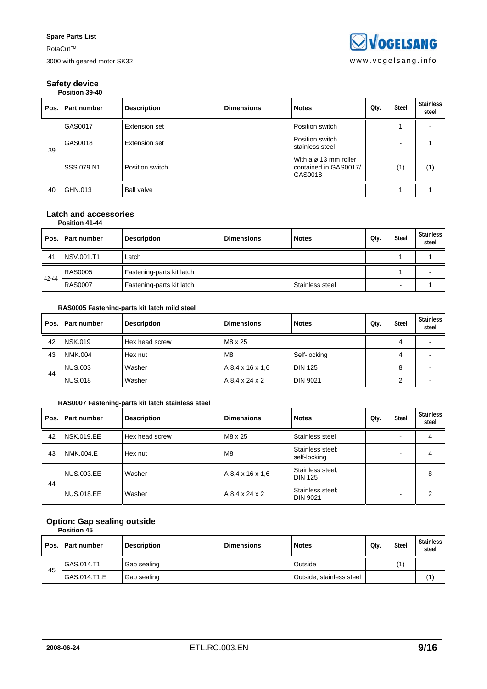### **Safety device Position 39-40**

|    | Pos. Part number | <b>Description</b> | <b>Dimensions</b> | <b>Notes</b>                                                          | Qty. | <b>Steel</b> | <b>Stainless</b><br>steel |
|----|------------------|--------------------|-------------------|-----------------------------------------------------------------------|------|--------------|---------------------------|
| 39 | GAS0017          | Extension set      |                   | Position switch                                                       |      |              |                           |
|    | GAS0018          | Extension set      |                   | Position switch<br>stainless steel                                    |      |              |                           |
|    | SSS.079.N1       | Position switch    |                   | With a $\varnothing$ 13 mm roller<br>contained in GAS0017/<br>GAS0018 |      | (1)          | (1)                       |
| 40 | GHN.013          | <b>Ball valve</b>  |                   |                                                                       |      |              |                           |

#### **Latch and accessories Position 41-44**

| Pos.  | <b>Part number</b> | <b>Description</b>        | <b>Dimensions</b> | <b>Notes</b>    | Qty. | <b>Steel</b> | <b>Stainless</b><br>steel |  |  |
|-------|--------------------|---------------------------|-------------------|-----------------|------|--------------|---------------------------|--|--|
| 41    | NSV.001.T1         | Latch                     |                   |                 |      |              |                           |  |  |
| 42-44 | <b>RAS0005</b>     | Fastening-parts kit latch |                   |                 |      |              |                           |  |  |
|       | <b>RAS0007</b>     | Fastening-parts kit latch |                   | Stainless steel |      | -            |                           |  |  |

## **RAS0005 Fastening-parts kit latch mild steel**

|    | Pos.   Part number | <b>Description</b> | <b>Dimensions</b> | <b>Notes</b>    | Qty. | <b>Steel</b> | <b>Stainless</b><br>steel |
|----|--------------------|--------------------|-------------------|-----------------|------|--------------|---------------------------|
| 42 | <b>NSK.019</b>     | Hex head screw     | M8 x 25           |                 |      |              |                           |
| 43 | <b>NMK.004</b>     | Hex nut            | M8                | Self-locking    |      |              |                           |
|    | NUS.003            | Washer             | A 8.4 x 16 x 1.6  | <b>DIN 125</b>  |      | 8            |                           |
| 44 | <b>NUS.018</b>     | Washer             | A 8.4 x 24 x 2    | <b>DIN 9021</b> |      |              |                           |

## **RAS0007 Fastening-parts kit latch stainless steel**

| Pos. | Part number       | <b>Description</b> | <b>Dimensions</b> | <b>Notes</b>                        | Qty. | <b>Steel</b> | <b>Stainless</b><br>steel |
|------|-------------------|--------------------|-------------------|-------------------------------------|------|--------------|---------------------------|
| 42   | <b>NSK.019.EE</b> | Hex head screw     | M8 x 25           | Stainless steel                     |      |              | 4                         |
| 43   | NMK.004.E         | Hex nut            | M <sub>8</sub>    | Stainless steel;<br>self-locking    |      |              | 4                         |
| 44   | <b>NUS.003.EE</b> | Washer             | A 8.4 x 16 x 1.6  | Stainless steel;<br><b>DIN 125</b>  |      |              | 8                         |
|      | <b>NUS.018.EE</b> | Washer             | A 8.4 x 24 x 2    | Stainless steel;<br><b>DIN 9021</b> |      |              | 2                         |

## **Option: Gap sealing outside**

| <b>Position 45</b> |  |
|--------------------|--|

|    | Pos.   Part number | <b>Description</b> | <b>Dimensions</b> | <b>Notes</b>             | Qtv. | <b>Steel</b> | <b>Stainless</b><br>steel |
|----|--------------------|--------------------|-------------------|--------------------------|------|--------------|---------------------------|
| 45 | l GAS.014.T1       | Gap sealing        |                   | Outside                  |      | (1)          |                           |
|    | l GAS.014.T1.E     | Gap sealing        |                   | Outside; stainless steel |      |              | (1)                       |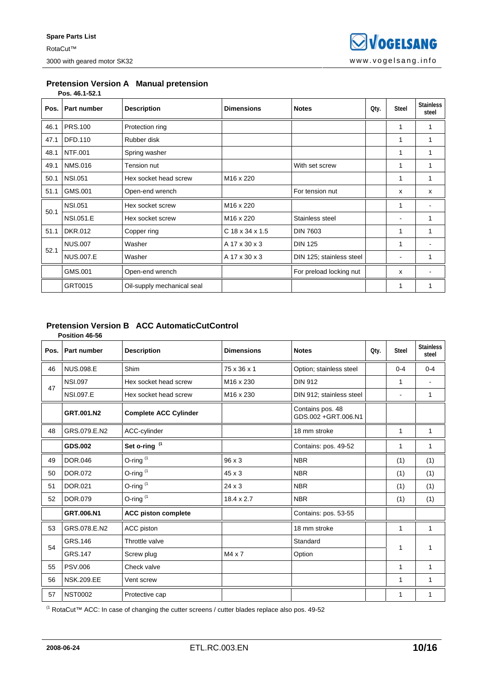### **Pretension Version A Manual pretension Pos. 46.1-52.1**

| Pos. | <b>Part number</b> | <b>Description</b>         | <b>Dimensions</b>     | <b>Notes</b>             | Qty. | <b>Steel</b> | <b>Stainless</b><br>steel |
|------|--------------------|----------------------------|-----------------------|--------------------------|------|--------------|---------------------------|
| 46.1 | <b>PRS.100</b>     | Protection ring            |                       |                          |      | 1            |                           |
| 47.1 | DFD.110            | Rubber disk                |                       |                          |      | 1            | 1                         |
| 48.1 | <b>NTF.001</b>     | Spring washer              |                       |                          |      | 1            | 1                         |
| 49.1 | <b>NMS.016</b>     | Tension nut                |                       | With set screw           |      | 1            |                           |
| 50.1 | <b>NSI.051</b>     | Hex socket head screw      | M <sub>16</sub> x 220 |                          |      | 1            | 1                         |
| 51.1 | GMS.001            | Open-end wrench            |                       | For tension nut          |      | x            | x                         |
| 50.1 | <b>NSI.051</b>     | Hex socket screw           | M <sub>16</sub> x 220 |                          |      | 1            |                           |
|      | <b>NSI.051.E</b>   | Hex socket screw           | M16 x 220             | Stainless steel          |      | ۰            | 1                         |
| 51.1 | <b>DKR.012</b>     | Copper ring                | $C$ 18 x 34 x 1.5     | <b>DIN 7603</b>          |      | 1            | 1                         |
| 52.1 | <b>NUS.007</b>     | Washer                     | A 17 x 30 x 3         | <b>DIN 125</b>           |      | 1            |                           |
|      | <b>NUS.007.E</b>   | Washer                     | A 17 x 30 x 3         | DIN 125; stainless steel |      |              | 1                         |
|      | GMS.001            | Open-end wrench            |                       | For preload locking nut  |      | x            |                           |
|      | GRT0015            | Oil-supply mechanical seal |                       |                          |      |              |                           |

#### **Pretension Version B ACC AutomaticCutControl Position 46-56**

|      | טט-טא ווטווכט     |                              |                       |                                         |      |                |                           |
|------|-------------------|------------------------------|-----------------------|-----------------------------------------|------|----------------|---------------------------|
| Pos. | Part number       | <b>Description</b>           | <b>Dimensions</b>     | <b>Notes</b>                            | Qty. | <b>Steel</b>   | <b>Stainless</b><br>steel |
| 46   | <b>NUS.098.E</b>  | Shim                         | 75 x 36 x 1           | Option; stainless steel                 |      | $0 - 4$        | $0 - 4$                   |
| 47   | <b>NSI.097</b>    | Hex socket head screw        | M <sub>16</sub> x 230 | <b>DIN 912</b>                          |      | 1              |                           |
|      | <b>NSI.097.E</b>  | Hex socket head screw        | M <sub>16</sub> x 230 | DIN 912; stainless steel                |      | $\blacksquare$ | 1                         |
|      | GRT.001.N2        | <b>Complete ACC Cylinder</b> |                       | Contains pos. 48<br>GDS.002 +GRT.006.N1 |      |                |                           |
| 48   | GRS.079.E.N2      | ACC-cylinder                 |                       | 18 mm stroke                            |      | 1              | $\mathbf{1}$              |
|      | GDS.002           | Set o-ring <sup>(1</sup>     |                       | Contains: pos. 49-52                    |      | 1              | 1                         |
| 49   | <b>DOR.046</b>    | O-ring $(1)$                 | 96 x 3                | <b>NBR</b>                              |      | (1)            | (1)                       |
| 50   | DOR.072           | O-ring $(1)$                 | 45 x 3                | <b>NBR</b>                              |      | (1)            | (1)                       |
| 51   | DOR.021           | O-ring $(1)$                 | $24 \times 3$         | <b>NBR</b>                              |      | (1)            | (1)                       |
| 52   | <b>DOR.079</b>    | O-ring $(1)$                 | $18.4 \times 2.7$     | <b>NBR</b>                              |      | (1)            | (1)                       |
|      | GRT.006.N1        | <b>ACC piston complete</b>   |                       | Contains: pos. 53-55                    |      |                |                           |
| 53   | GRS.078.E.N2      | ACC piston                   |                       | 18 mm stroke                            |      | 1              | $\mathbf{1}$              |
| 54   | GRS.146           | Throttle valve               |                       | Standard                                |      |                | 1                         |
|      | GRS.147           | Screw plug                   | $M4 \times 7$         | Option                                  | 1    |                |                           |
| 55   | <b>PSV.006</b>    | Check valve                  |                       |                                         |      | 1              | 1                         |
| 56   | <b>NSK.209.EE</b> | Vent screw                   |                       |                                         |      | 1              | 1                         |
| 57   | <b>NST0002</b>    | Protective cap               |                       |                                         |      | 1              | 1                         |

(1 RotaCut™ ACC: In case of changing the cutter screens / cutter blades replace also pos. 49-52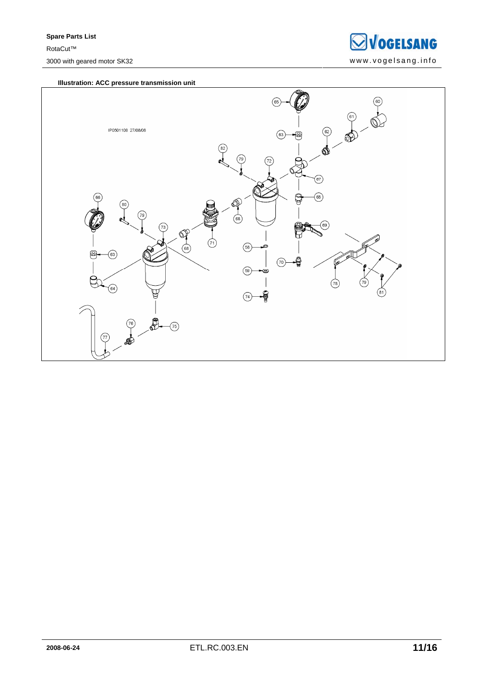

### **Illustration: ACC pressure transmission unit**

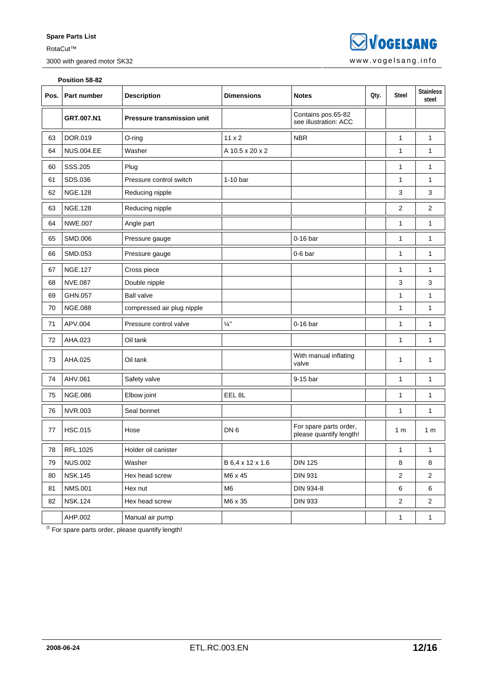**SVOGELSANG** 3000 with geared motor SK32 www.vogelsang.info

|      | Position 58-82    |                                   |                   |                                                   |      |                |                           |  |  |  |
|------|-------------------|-----------------------------------|-------------------|---------------------------------------------------|------|----------------|---------------------------|--|--|--|
| Pos. | Part number       | <b>Description</b>                | <b>Dimensions</b> | <b>Notes</b>                                      | Oty. | Steel          | <b>Stainless</b><br>steel |  |  |  |
|      | GRT.007.N1        | <b>Pressure transmission unit</b> |                   | Contains pos.65-82<br>see illustration: ACC       |      |                |                           |  |  |  |
| 63   | DOR.019           | O-ring                            | $11 \times 2$     | <b>NBR</b>                                        |      | 1              | $\mathbf{1}$              |  |  |  |
| 64   | <b>NUS.004.EE</b> | Washer                            | A 10.5 x 20 x 2   |                                                   |      | $\mathbf{1}$   | 1                         |  |  |  |
| 60   | SSS.205           | Plug                              |                   |                                                   |      | 1              | $\mathbf{1}$              |  |  |  |
| 61   | SDS.036           | Pressure control switch           | $1-10$ bar        |                                                   |      | 1              | 1                         |  |  |  |
| 62   | <b>NGE.128</b>    | Reducing nipple                   |                   |                                                   |      | 3              | 3                         |  |  |  |
| 63   | <b>NGE.128</b>    | Reducing nipple                   |                   |                                                   |      | $\overline{2}$ | $\overline{2}$            |  |  |  |
| 64   | <b>NWE.007</b>    | Angle part                        |                   |                                                   |      | 1              | $\mathbf{1}$              |  |  |  |
| 65   | SMD.006           | Pressure gauge                    |                   | 0-16 bar                                          |      | 1              | $\mathbf{1}$              |  |  |  |
| 66   | SMD.053           | Pressure gauge                    |                   | $0-6$ bar                                         |      | 1              | 1                         |  |  |  |
| 67   | <b>NGE.127</b>    | Cross piece                       |                   |                                                   |      | 1              | 1                         |  |  |  |
| 68   | <b>NVE.087</b>    | Double nipple                     |                   |                                                   |      | 3              | 3                         |  |  |  |
| 69   | GHN.057           | <b>Ball valve</b>                 |                   |                                                   |      | 1              | $\mathbf{1}$              |  |  |  |
| 70   | <b>NGE.088</b>    | compressed air plug nipple        |                   |                                                   |      | 1              | 1                         |  |  |  |
| 71   | APV.004           | Pressure control valve            | $\frac{1}{4}$ "   | $0-16$ bar                                        |      | 1              | 1                         |  |  |  |
| 72   | AHA.023           | Oil tank                          |                   |                                                   |      | 1              | 1                         |  |  |  |
| 73   | AHA.025           | Oil tank                          |                   | With manual inflating<br>valve                    |      | 1              | 1                         |  |  |  |
| 74   | AHV.061           | Safety valve                      |                   | 9-15 bar                                          |      | 1              | 1                         |  |  |  |
| 75   | <b>NGE.086</b>    | Elbow joint                       | EEL <sub>8L</sub> |                                                   |      | 1              | $\mathbf{1}$              |  |  |  |
| 76   | <b>NVR.003</b>    | Seal bonnet                       |                   |                                                   |      | 1              | 1                         |  |  |  |
| 77   | <b>HSC.015</b>    | Hose                              | DN <sub>6</sub>   | For spare parts order,<br>please quantify length! |      | 1 <sub>m</sub> | 1 <sub>m</sub>            |  |  |  |
| 78   | RFL.1025          | Holder oil canister               |                   |                                                   |      | 1              | 1                         |  |  |  |
| 79   | <b>NUS.002</b>    | Washer                            | B 6,4 x 12 x 1.6  | <b>DIN 125</b>                                    |      | 8              | 8                         |  |  |  |
| 80   | <b>NSK.145</b>    | Hex head screw                    | M6 x 45           | <b>DIN 931</b>                                    |      | 2              | $\overline{2}$            |  |  |  |
| 81   | <b>NMS.001</b>    | Hex nut                           | M <sub>6</sub>    | DIN 934-8                                         |      | 6              | 6                         |  |  |  |
| 82   | <b>NSK.124</b>    | Hex head screw                    | M6 x 35           | <b>DIN 933</b>                                    |      | 2              | 2                         |  |  |  |
|      | AHP.002           | Manual air pump                   |                   |                                                   |      | $\mathbf{1}$   | $\mathbf{1}$              |  |  |  |

 $<sup>(5)</sup>$  For spare parts order, please quantify length!</sup>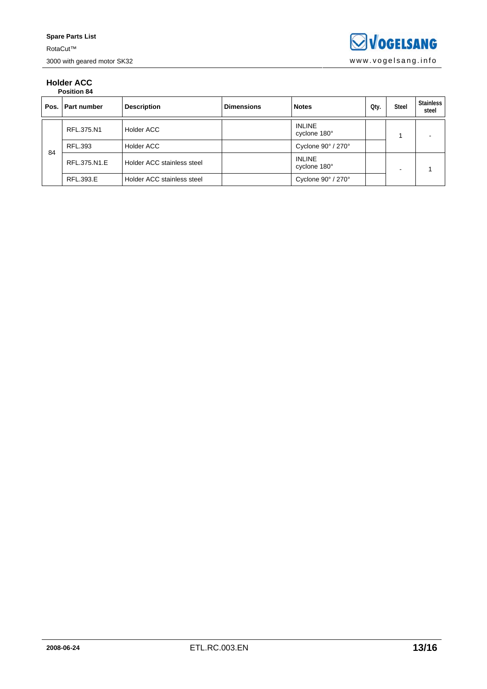### **Holder ACC Position 84**

|    | Pos.   Part number | <b>Description</b>         | <b>Dimensions</b> | <b>Notes</b>                          | Qty. | <b>Steel</b> | <b>Stainless</b><br>steel |
|----|--------------------|----------------------------|-------------------|---------------------------------------|------|--------------|---------------------------|
|    | RFL.375.N1         | <b>Holder ACC</b>          |                   | <b>INLINE</b><br>cyclone 180°         |      |              |                           |
| 84 | RFL.393            | Holder ACC                 |                   | Cyclone 90° / 270°                    |      |              |                           |
|    | RFL.375.N1.E       | Holder ACC stainless steel |                   | <b>INLINE</b><br>cyclone 180°         |      | -            |                           |
|    | RFL.393.E          | Holder ACC stainless steel |                   | Cyclone $90^{\circ}$ / 270 $^{\circ}$ |      |              |                           |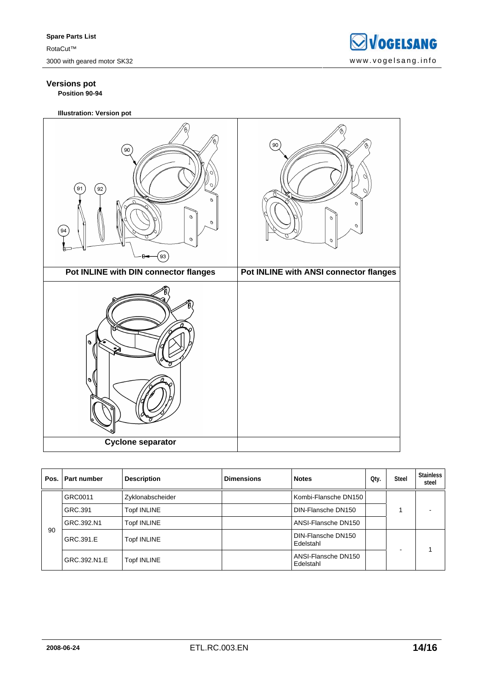## **Versions pot Position 90-94**

**Illustration: Version pot** 

| $90^{\circ}$<br>$\left(91\right)$<br>$\left(92\right)$<br>$\mathcal{O}$<br>$\mathcal{O}$<br>$\mathcal O$<br>$\left(94\right)$<br>$\mathcal{O}$<br>93 | (90)<br>O<br>$\mathcal{O}$<br>$\mathcal{O}$<br>$\mathcal O$<br>$\mathcal{O}$ |
|------------------------------------------------------------------------------------------------------------------------------------------------------|------------------------------------------------------------------------------|
| Pot INLINE with DIN connector flanges                                                                                                                | Pot INLINE with ANSI connector flanges                                       |
| o<br>ঔ<br>o<br>Cyclone separator                                                                                                                     |                                                                              |

|    | Pos. Part number | <b>Description</b> | <b>Dimensions</b> | <b>Notes</b>                     | Qty. | <b>Steel</b> | <b>Stainless</b><br>steel |
|----|------------------|--------------------|-------------------|----------------------------------|------|--------------|---------------------------|
|    | GRC0011          | Zyklonabscheider   |                   | Kombi-Flansche DN150             |      |              |                           |
|    | GRC.391          | <b>Topf INLINE</b> |                   | DIN-Flansche DN150               |      |              |                           |
|    | GRC.392.N1       | <b>Topf INLINE</b> |                   | ANSI-Flansche DN150              |      |              |                           |
| 90 | GRC.391.E        | <b>Topf INLINE</b> |                   | DIN-Flansche DN150<br>Edelstahl  |      |              |                           |
|    | GRC.392.N1.E     | <b>Topf INLINE</b> |                   | ANSI-Flansche DN150<br>Edelstahl |      |              |                           |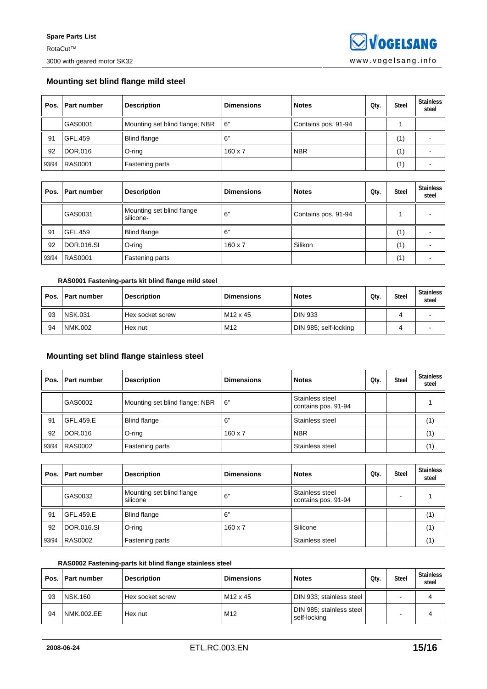## **Mounting set blind flange mild steel**

|       | Pos.   Part number | <b>Description</b>             | <b>Dimensions</b> | <b>Notes</b>        | Qty. | <b>Steel</b> | Stainless<br>steel |
|-------|--------------------|--------------------------------|-------------------|---------------------|------|--------------|--------------------|
|       | GAS0001            | Mounting set blind flange; NBR | 16"               | Contains pos. 91-94 |      |              |                    |
| 91    | GFL.459            | <b>Blind flange</b>            | 6"                |                     |      | (1)          |                    |
| 92    | DOR.016            | $O$ -ring                      | $160 \times 7$    | <b>NBR</b>          |      | (1)          |                    |
| 93/94 | <b>RAS0001</b>     | <b>Fastening parts</b>         |                   |                     |      | (1)          |                    |

| Pos. I | l Part number  | <b>Description</b>                     | <b>Dimensions</b> | <b>Notes</b>        | Oty. | <b>Steel</b> | <b>Stainless</b><br>steel |
|--------|----------------|----------------------------------------|-------------------|---------------------|------|--------------|---------------------------|
|        | GAS0031        | Mounting set blind flange<br>silicone- | 6"                | Contains pos. 91-94 |      |              |                           |
| 91     | GFL.459        | Blind flange                           | .6"               |                     |      | (1)          |                           |
| 92     | DOR.016.SI     | O-ring                                 | $160 \times 7$    | Silikon             |      | (1)          |                           |
| 93/94  | <b>RAS0001</b> | Fastening parts                        |                   |                     |      | (1)          |                           |

## **RAS0001 Fastening-parts kit blind flange mild steel**

|    | Pos.   Part number | <b>Description</b> | <b>Dimensions</b>    | <b>Notes</b>          | Oty. | <b>Steel</b> | Stainless<br>steel |
|----|--------------------|--------------------|----------------------|-----------------------|------|--------------|--------------------|
| 93 | <b>NSK.031</b>     | Hex socket screw   | M <sub>12</sub> x 45 | <b>DIN 933</b>        |      |              |                    |
| 94 | NMK.002            | Hex nut            | M <sub>12</sub>      | DIN 985; self-locking |      |              |                    |

## **Mounting set blind flange stainless steel**

|       | Pos.   Part number | <b>Description</b>             | <b>Dimensions</b> | <b>Notes</b>                           | Oty. | <b>Steel</b> | <b>Stainless</b><br>steel |
|-------|--------------------|--------------------------------|-------------------|----------------------------------------|------|--------------|---------------------------|
|       | GAS0002            | Mounting set blind flange; NBR | 6"                | Stainless steel<br>contains pos. 91-94 |      |              |                           |
| 91    | GFL.459.E          | <b>Blind flange</b>            | 6"                | Stainless steel                        |      |              | (1)                       |
| 92    | <b>DOR.016</b>     | O-ring                         | $160 \times 7$    | <b>NBR</b>                             |      |              | (1)                       |
| 93/94 | <b>RAS0002</b>     | Fastening parts                |                   | Stainless steel                        |      |              | (1)                       |

|       | Pos. Part number | <b>Description</b>                    | <b>Dimensions</b> | <b>Notes</b>                           | Qty. | <b>Steel</b> | <b>Stainless</b><br>steel |
|-------|------------------|---------------------------------------|-------------------|----------------------------------------|------|--------------|---------------------------|
|       | GAS0032          | Mounting set blind flange<br>silicone | 6"                | Stainless steel<br>contains pos. 91-94 |      |              |                           |
| 91    | GFL.459.E        | <b>Blind flange</b>                   | 6"                |                                        |      |              | (1)                       |
| 92    | DOR.016.SI       | O-ring                                | $160 \times 7$    | Silicone                               |      |              | (1)                       |
| 93/94 | <b>RAS0002</b>   | Fastening parts                       |                   | Stainless steel                        |      |              | (1)                       |

## **RAS0002 Fastening-parts kit blind flange stainless steel**

|    | Pos.   Part number | <b>Description</b> | <b>Dimensions</b>    | <b>Notes</b>                             | Oty. | <b>Steel</b> | Stainless<br>steel |
|----|--------------------|--------------------|----------------------|------------------------------------------|------|--------------|--------------------|
| 93 | <b>NSK.160</b>     | Hex socket screw   | M <sub>12</sub> x 45 | DIN 933; stainless steel                 |      | -            |                    |
| 94 | NMK.002.EE         | Hex nut            | M12                  | DIN 985; stainless steel<br>self-locking |      |              | 4                  |